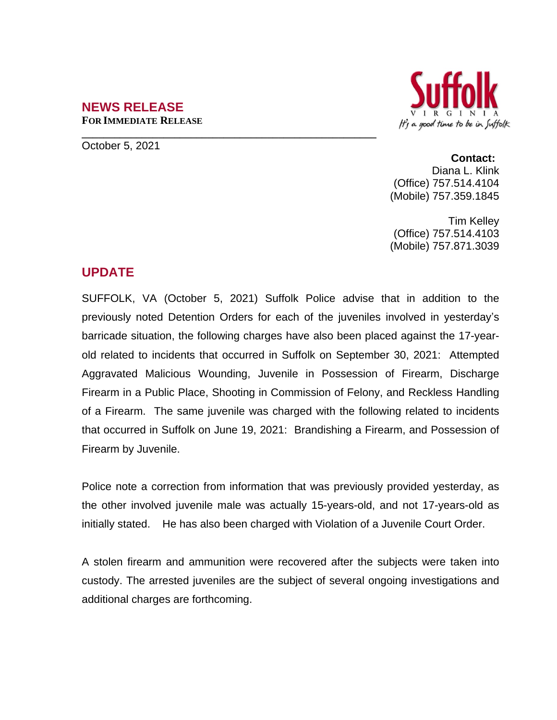#### **NEWS RELEASE FOR IMMEDIATE RELEASE**

**\_\_\_\_\_\_\_\_\_\_\_\_\_\_\_\_\_\_\_\_\_\_\_\_\_\_\_\_\_\_\_\_\_\_\_\_\_\_\_\_\_\_\_\_\_\_\_\_\_\_\_\_\_\_**



October 5, 2021

# **Contact:**

Diana L. Klink (Office) 757.514.4104 (Mobile) 757.359.1845

Tim Kelley (Office) 757.514.4103 (Mobile) 757.871.3039

## **UPDATE**

SUFFOLK, VA (October 5, 2021) Suffolk Police advise that in addition to the previously noted Detention Orders for each of the juveniles involved in yesterday's barricade situation, the following charges have also been placed against the 17-yearold related to incidents that occurred in Suffolk on September 30, 2021: Attempted Aggravated Malicious Wounding, Juvenile in Possession of Firearm, Discharge Firearm in a Public Place, Shooting in Commission of Felony, and Reckless Handling of a Firearm. The same juvenile was charged with the following related to incidents that occurred in Suffolk on June 19, 2021: Brandishing a Firearm, and Possession of Firearm by Juvenile.

Police note a correction from information that was previously provided yesterday, as the other involved juvenile male was actually 15-years-old, and not 17-years-old as initially stated. He has also been charged with Violation of a Juvenile Court Order.

A stolen firearm and ammunition were recovered after the subjects were taken into custody. The arrested juveniles are the subject of several ongoing investigations and additional charges are forthcoming.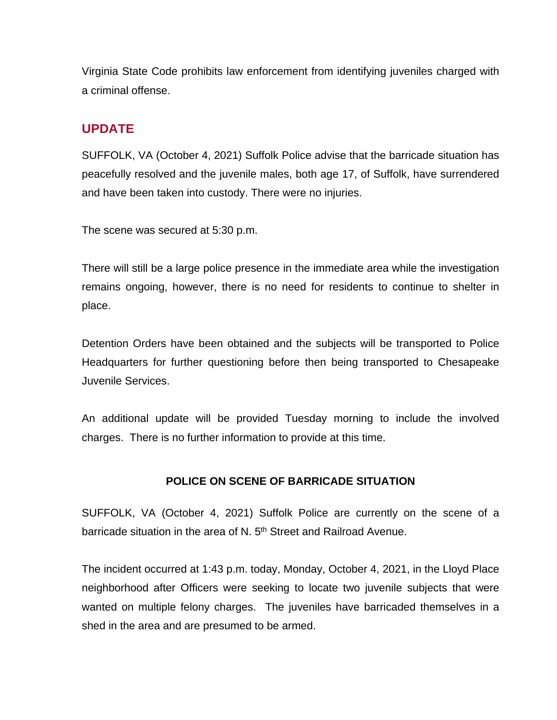Virginia State Code prohibits law enforcement from identifying juveniles charged with a criminal offense.

## **UPDATE**

SUFFOLK, VA (October 4, 2021) Suffolk Police advise that the barricade situation has peacefully resolved and the juvenile males, both age 17, of Suffolk, have surrendered and have been taken into custody. There were no injuries.

The scene was secured at 5:30 p.m.

There will still be a large police presence in the immediate area while the investigation remains ongoing, however, there is no need for residents to continue to shelter in place.

Detention Orders have been obtained and the subjects will be transported to Police Headquarters for further questioning before then being transported to Chesapeake Juvenile Services.

An additional update will be provided Tuesday morning to include the involved charges. There is no further information to provide at this time.

### **POLICE ON SCENE OF BARRICADE SITUATION**

SUFFOLK, VA (October 4, 2021) Suffolk Police are currently on the scene of a barricade situation in the area of N. 5<sup>th</sup> Street and Railroad Avenue.

The incident occurred at 1:43 p.m. today, Monday, October 4, 2021, in the Lloyd Place neighborhood after Officers were seeking to locate two juvenile subjects that were wanted on multiple felony charges. The juveniles have barricaded themselves in a shed in the area and are presumed to be armed.